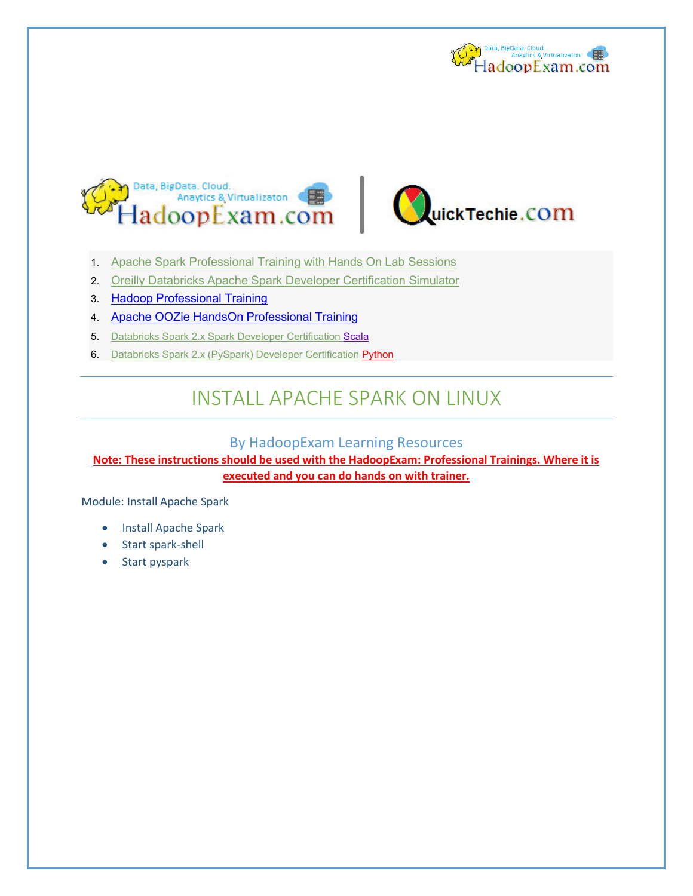





- 1. [Apache Spark Professional Training with Hands On Lab Sessions](http://www.hadoopexam.com/spark/training/Apache_Spark_professional_training_developer_certification_exam_dumps.html)
- 2. [Oreilly Databricks Apache Spark Developer Certification Simulator](http://www.hadoopexam.com/spark/Apache_Spark_Oreilly_databricks_developer_certification_exam_dumps.html)
- 3. [Hadoop Professional Training](http://hadoopexam.com/index.html/#hadoop-training)
- 4. [Apache OOZie HandsOn Professional Training](http://www.hadoopexam.com/)
- 5. [Databricks Spark 2.x Spark Developer Certification Scala](http://hadoopexam.com/spark/databricks/spark2scala/Databricks_Spark_2_Scala_Developer_Certification.html)
- 6. [Databricks Spark 2.x \(PySpark\) Developer Certification Python](http://hadoopexam.com/spark/databricks/spark2python/Databricks_Spark_2_Python_PySpark_Developer_Certification.html)

# INSTALL APACHE SPARK ON LINUX

## By HadoopExam Learning Resources

**Note: These instructions should be used with the HadoopExam: Professional Trainings. Where it is executed and you can do hands on with trainer.** 

Module: Install Apache Spark

- Install Apache Spark
- Start spark-shell
- Start pyspark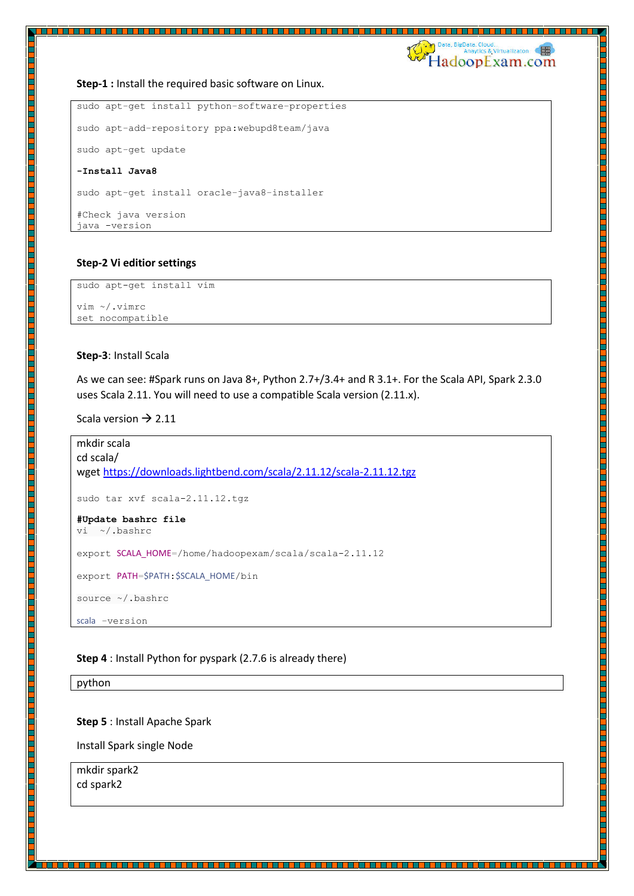Data, BigData. Cloud.<br>Anaytics & Virtualizaton HadoopExam.com

#### **Step-1 :** Install the required basic software on Linux.

```
sudo apt-get install python-software-properties 
sudo apt-add-repository ppa:webupd8team/java 
sudo apt-get update 
-Install Java8 
sudo apt-get install oracle-java8-installer 
#Check java version 
java -version
```
#### **Step-2 Vi editior settings**

sudo apt-get install vim vim ~/.vimrc

set nocompatible

## **Step-3**: Install Scala

As we can see: #Spark runs on Java 8+, Python 2.7+/3.4+ and R 3.1+. For the Scala API, Spark 2.3.0 uses Scala 2.11. You will need to use a compatible Scala version (2.11.x).

Scala version  $\rightarrow$  2.11

```
mkdir scala 
cd scala/ 
wget https://downloads.lightbend.com/scala/2.11.12/scala-2.11.12.tgz
sudo tar xvf scala-2.11.12.tgz 
#Update bashrc file 
vi ~/.bashrc 
export SCALA_HOME=/home/hadoopexam/scala/scala-2.11.12 
export PATH=$PATH:$SCALA HOME/bin
source ~/.bashrc 
scala -version
```
<u> 1999 - 1999 - 1999 - 1999 - 1999 - 1999 - 1999 - 1999 - 1999 - 1999 - 1999 - 1999 - 1999 - 1999 - 1999 - 1999 -</u>

**Step 4** : Install Python for pyspark (2.7.6 is already there)

python

#### **Step 5** : Install Apache Spark

Install Spark single Node

mkdir spark2 cd spark2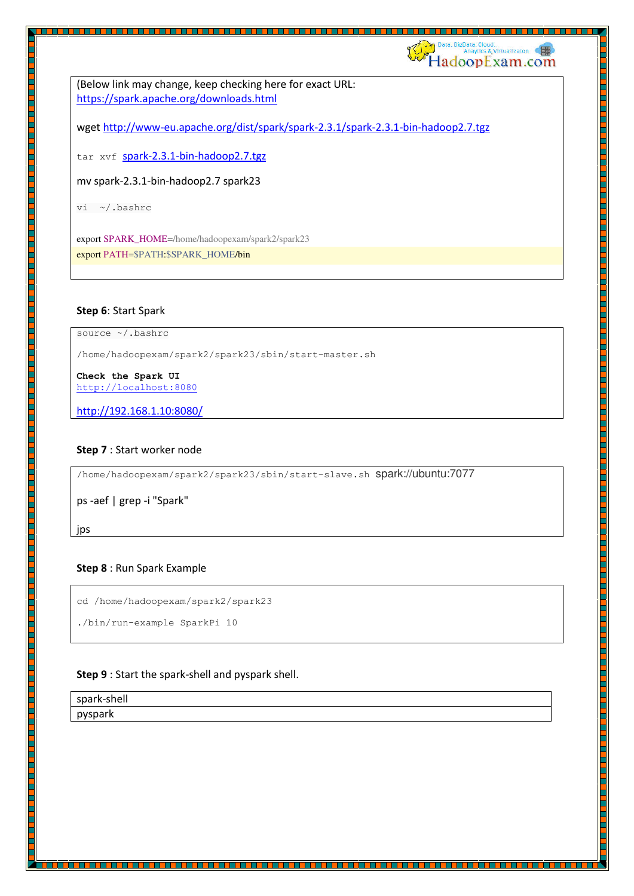(Below link may change, keep checking here for exact URL: <https://spark.apache.org/downloads.html>

wget http://www-eu.apache.org/dist/spark/spark-2.3.1/spark-2.3.1-bin-hadoop2.7.tgz

<u> 1989 - 1989 - 1989 - 1989 - 1989 - 1989 - 1989 - 1989 - 1989 - 1989 - 1989 - 1989 - 1989 - 1989 - 1989 - 198</u>

Data. Cloud.<br>Anaytics & Virtualizaton **HadoopExam.com** 

tar xvf spark-2.3.1-bin-hadoop2.7.tgz

mv spark-2.3.1-bin-hadoop2.7 spark23

vi ~/.bashrc

export SPARK\_HOME=/home/hadoopexam/spark2/spark23 export PATH=\$PATH:\$SPARK\_HOME/bin

#### **Step 6**: Start Spark

source ~/.bashrc

/home/hadoopexam/spark2/spark23/sbin/start-master.sh

**Check the Spark UI**  [http://localhost:8080](http://localhost:8080/)

http://192.168.1.10:8080/

#### **Step 7** : Start worker node

/home/hadoopexam/spark2/spark23/sbin/start-slave.sh spark://ubuntu:7077

ps -aef | grep -i "Spark"

jps

#### **Step 8** : Run Spark Example

cd /home/hadoopexam/spark2/spark23

./bin/run-example SparkPi 10

#### **Step 9** : Start the spark-shell and pyspark shell.

spark-shell pyspark

in di di di di biblio del biblio del control di di di biblio del biblio del control di di di di di di biblio d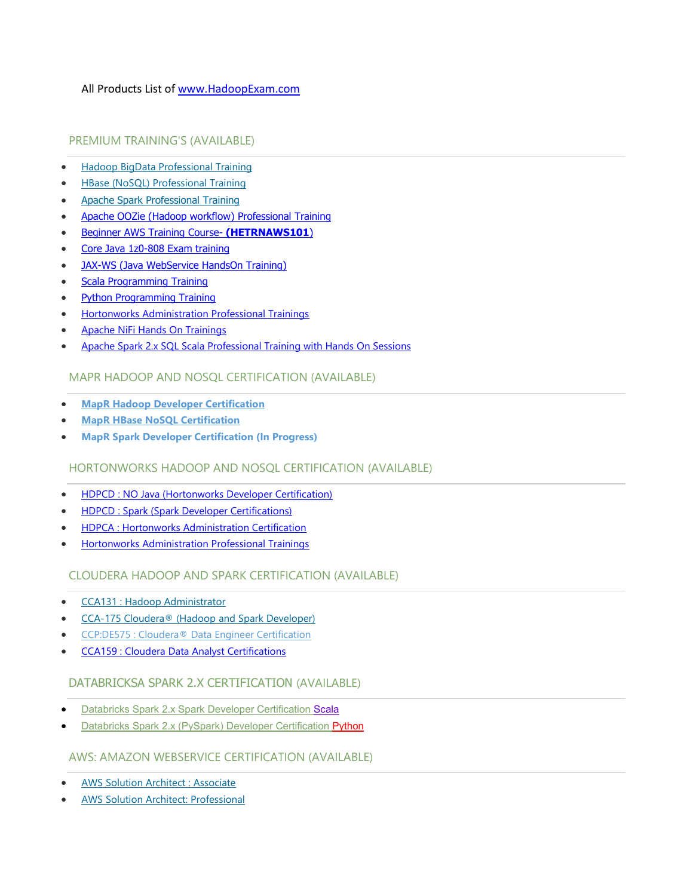## All Products List of [www.HadoopExam.com](http://www.hadoopexam.com/)

## PREMIUM TRAINING'S (AVAILABLE)

- [Hadoop BigData Professional Training](http://hadoopexam.com/index.html/#hadoop-training)
- [HBase \(NoSQL\) Professional Training](http://www.hadoopexam.com/hbase/HBase_Training_AND_Certification.html)
- [Apache Spark Professional Training](http://www.hadoopexam.com/spark/training/Apache_Spark_professional_training_developer_certification_exam_dumps.html)
- [Apache OOZie \(Hadoop workflow\) Professional Training](http://www.hadoopexam.com/)
- [Beginner AWS Training Course-](http://www.hadoopexam.com/) **(HETRNAWS101**)
- [Core Java 1z0-808 Exam training](http://www.hadoopexam.com/)
- JAX-WS (Java WebService HandsOn Training)
- [Scala Programming Training](http://www.hadoopexam.com/)
- [Python Programming Training](http://www.hadoopexam.com/)
- [Hortonworks Administration Professional Trainings](http://www.hadoopexam.com/)
- [Apache NiFi Hands On Trainings](http://www.hadoopexam.com/trainings/nifi.html)
- [Apache Spark 2.x SQL Scala Professional Training with Hands On Sessions](http://hadoopexam.com/)

#### MAPR HADOOP AND NOSQL CERTIFICATION (AVAILABLE)

- **[MapR Hadoop Developer Certification](http://www.hadoopexam.com/MapR/MapR_MCHD_Hadoop_Developer_Certification_Practice_Questions_exam_dumps.html)**
- **[MapR HBase NoSQL Certification](http://hadoopexam.com/index.html/#hbase)**
- **MapR Spark Developer Certification (In Progress)**

## HORTONWORKS HADOOP AND NOSQL CERTIFICATION (AVAILABLE)

- [HDPCD : NO Java \(Hortonworks Developer Certification\)](http://www.hadoopexam.com/HORTONWORKS_CERT/What_is_hortonworks_hdpcd_hadoop_professsional_Certification.html)
- [HDPCD : Spark \(Spark Developer Certifications\)](http://www.hadoopexam.com/HORTONWORKS_CERT/What_is_hortonworks_hdpcd_spark_Certification.html)
- [HDPCA : Hortonworks Administration Certification](http://www.hadoopexam.com/)
- [Hortonworks Administration Professional Trainings](http://www.hadoopexam.com/)

## CLOUDERA HADOOP AND SPARK CERTIFICATION (AVAILABLE)

- [CCA131 : Hadoop Administrator](http://hadoopexam.com/index.html/#admin)
- [CCA-175 Cloudera® \(Hadoop and Spark Developer\)](http://www.hadoopexam.com/Cloudera_Certification/CCA175/CCA_175_Hadoop_Cloudera_Spark_Certification_Questions_Dumps_Practice_Test.html)
- [CCP:DE575 : Cloudera® Data Engineer Certification](http://www.hadoopexam.com/Cloudera_Certification/CCPDE575/CCP_DE575_Hadoop_Cloudera_Data_Enginer_Questions_Dumps_Practice_Test.html)
- [CCA159 : Cloudera Data Analyst Certifications](http://www.hadoopexam.com/Cloudera_Certification/CCA159/What_is_cloudera_Data_Analyst_CCA159_Certification.html)

#### DATABRICKSA SPARK 2.X CERTIFICATION (AVAILABLE)

- [Databricks Spark 2.x Spark Developer Certification Scala](http://hadoopexam.com/spark/databricks/spark2scala/Databricks_Spark_2_Scala_Developer_Certification.html)
- [Databricks Spark 2.x \(PySpark\) Developer Certification Python](http://hadoopexam.com/spark/databricks/spark2python/Databricks_Spark_2_Python_PySpark_Developer_Certification.html)

#### AWS: AMAZON WEBSERVICE CERTIFICATION (AVAILABLE)

- [AWS Solution Architect : Associate](http://www.hadoopexam.com/aws/amazon_aws_certification_dumps.html)
- [AWS Solution Architect: Professional](http://www.hadoopexam.com/aws/AWSSA/Professional/amazon_aws_certification_Solution_architect_professional_dumps.html)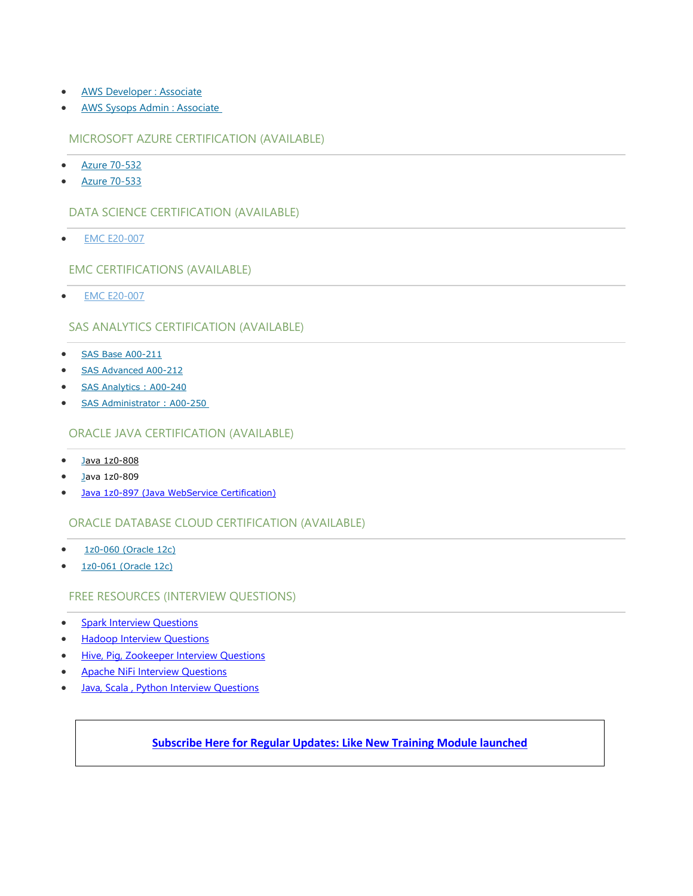- [AWS Developer : Associate](http://hadoopexam.com/aws/AWSDEV/amazon_aws_developer_exam_certification_dumps.html)
- [AWS Sysops Admin : Associate](http://hadoopexam.com/aws/AWSSYSOPS/amazon_aws_SysOps_Administrator_exam_certification_dumps.html)

#### MICROSOFT AZURE CERTIFICATION (AVAILABLE)

- [Azure 70-532](http://www.hadoopexam.com/Microsoft/Azure/microsoft_azure_70_532_certification_dump_exam.html)
- [Azure 70-533](http://www.hadoopexam.com/Microsoft/Azure/microsoft_azure_70_533_certification_dump_exam.html)

## DATA SCIENCE CERTIFICATION (AVAILABLE)

[EMC E20-007](http://hadoopexam.com/emc/EMCDSA_E20_007_certification_exam_dumps.html)

EMC CERTIFICATIONS (AVAILABLE)

[EMC E20-007](http://hadoopexam.com/emc/EMCDSA_E20_007_certification_exam_dumps.html)

## SAS ANALYTICS CERTIFICATION (AVAILABLE)

- [SAS Base A00-211](http://hadoopexam.com/hadoop_training/What_SAS_A0_211_Base_Certification_DUMPS.html)
- [SAS Advanced A00-212](http://www.hadoopexam.com/sas/What_SAS_A00_212_SAS_Advanced_Certification_DUMPS.html)
- [SAS Analytics : A00-240](http://www.hadoopexam.com/sas/SASA00240/What_SAS_A00_240_Certified_Statistical_Business_Analyst_Regression_Modeling_DUMPS.html)
- SAS Administrator : A00-250

#### ORACLE JAVA CERTIFICATION (AVAILABLE)

- [Java 1z0-808](http://www.hadoopexam.com/Oracle/Java1z0808/Oracle_java_1z0_808_programmer_8_developer_certification_exam_dumps.html)
- [Ja](http://www.hadoopexam.com/sas/What_SAS_A00_212_SAS_Advanced_Certification_DUMPS.html)va 1z0-809
- [Java 1z0-897 \(Java WebService Certification\)](http://www.hadoopexam.com/)

## ORACLE DATABASE CLOUD CERTIFICATION (AVAILABLE)

- [1z0-060 \(Oracle 12c\)](http://www.hadoopexam.com/Oracle/1z0060/1Z0_060_Upgrade_to_Oracle_Database_12c_Administrator_dumps.html)
- [1z0-061 \(Oracle 12c\)](http://www.hadoopexam.com/Oracle/1z0061SQL/1Z0_061_Oracle_Database_12c_SQL_Fundamentals_dumps.html)

## FREE RESOURCES (INTERVIEW QUESTIONS)

- **[Spark Interview Questions](https://interview.hadoopexam.com/)**
- [Hadoop Interview Questions](https://interview.hadoopexam.com/)
- [Hive, Pig, Zookeeper Interview Questions](https://interview.hadoopexam.com/)
- [Apache NiFi Interview Questions](https://interview.hadoopexam.com/)
- **Java, Scala, Python Interview Questions**

## **[Subscribe Here for Regular Updates: Like New Training Module launched](http://hadoopexam.com/do1111/index.php/subscribe)**